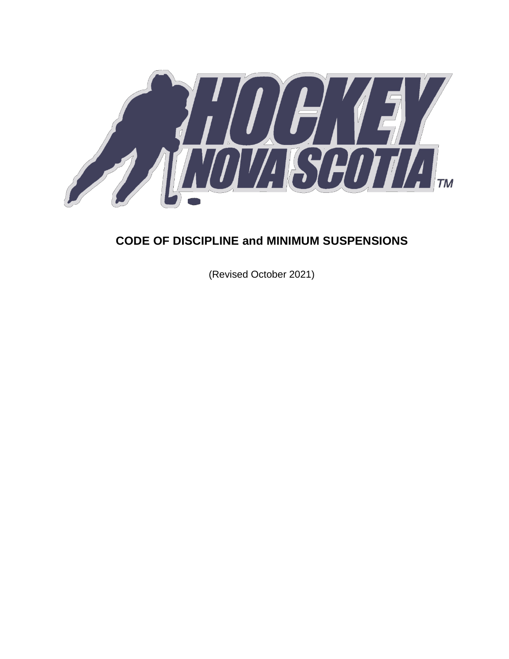

## **CODE OF DISCIPLINE and MINIMUM SUSPENSIONS**

(Revised October 2021)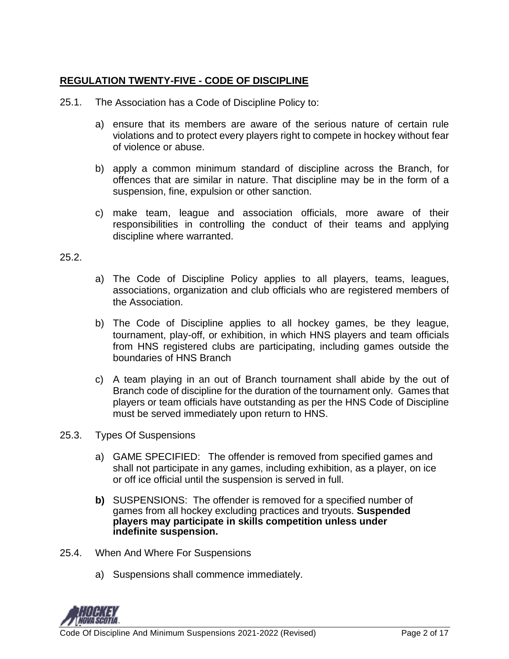## **REGULATION TWENTY-FIVE - CODE OF DISCIPLINE**

25.1. The Association has a Code of Discipline Policy to:

- a) ensure that its members are aware of the serious nature of certain rule violations and to protect every players right to compete in hockey without fear of violence or abuse.
- b) apply a common minimum standard of discipline across the Branch, for offences that are similar in nature. That discipline may be in the form of a suspension, fine, expulsion or other sanction.
- c) make team, league and association officials, more aware of their responsibilities in controlling the conduct of their teams and applying discipline where warranted.

25.2.

- a) The Code of Discipline Policy applies to all players, teams, leagues, associations, organization and club officials who are registered members of the Association.
- b) The Code of Discipline applies to all hockey games, be they league, tournament, play-off, or exhibition, in which HNS players and team officials from HNS registered clubs are participating, including games outside the boundaries of HNS Branch
- c) A team playing in an out of Branch tournament shall abide by the out of Branch code of discipline for the duration of the tournament only. Games that players or team officials have outstanding as per the HNS Code of Discipline must be served immediately upon return to HNS.
- 25.3. Types Of Suspensions
	- a) GAME SPECIFIED: The offender is removed from specified games and shall not participate in any games, including exhibition, as a player, on ice or off ice official until the suspension is served in full.
	- **b)** SUSPENSIONS: The offender is removed for a specified number of games from all hockey excluding practices and tryouts. **Suspended players may participate in skills competition unless under indefinite suspension.**
- 25.4. When And Where For Suspensions
	- a) Suspensions shall commence immediately.

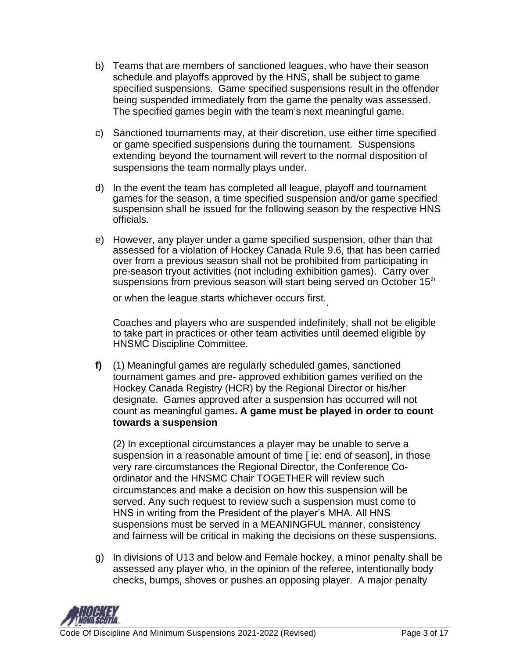- b) Teams that are members of sanctioned leagues, who have their season schedule and playoffs approved by the HNS, shall be subject to game specified suspensions. Game specified suspensions result in the offender being suspended immediately from the game the penalty was assessed. The specified games begin with the team's next meaningful game.
- c) Sanctioned tournaments may, at their discretion, use either time specified or game specified suspensions during the tournament. Suspensions extending beyond the tournament will revert to the normal disposition of suspensions the team normally plays under.
- d) In the event the team has completed all league, playoff and tournament games for the season, a time specified suspension and/or game specified suspension shall be issued for the following season by the respective HNS officials.
- e) However, any player under a game specified suspension, other than that assessed for a violation of Hockey Canada Rule 9.6, that has been carried over from a previous season shall not be prohibited from participating in pre-season tryout activities (not including exhibition games). Carry over suspensions from previous season will start being served on October 15<sup>th</sup>

or when the league starts whichever occurs first. .

Coaches and players who are suspended indefinitely, shall not be eligible to take part in practices or other team activities until deemed eligible by HNSMC Discipline Committee.

**f)** (1) Meaningful games are regularly scheduled games, sanctioned tournament games and pre- approved exhibition games verified on the Hockey Canada Registry (HCR) by the Regional Director or his/her designate. Games approved after a suspension has occurred will not count as meaningful games**. A game must be played in order to count towards a suspension**

(2) In exceptional circumstances a player may be unable to serve a suspension in a reasonable amount of time [ie: end of season], in those very rare circumstances the Regional Director, the Conference Coordinator and the HNSMC Chair TOGETHER will review such circumstances and make a decision on how this suspension will be served. Any such request to review such a suspension must come to HNS in writing from the President of the player's MHA. All HNS suspensions must be served in a MEANINGFUL manner, consistency and fairness will be critical in making the decisions on these suspensions.

g) In divisions of U13 and below and Female hockey, a minor penalty shall be assessed any player who, in the opinion of the referee, intentionally body checks, bumps, shoves or pushes an opposing player. A major penalty

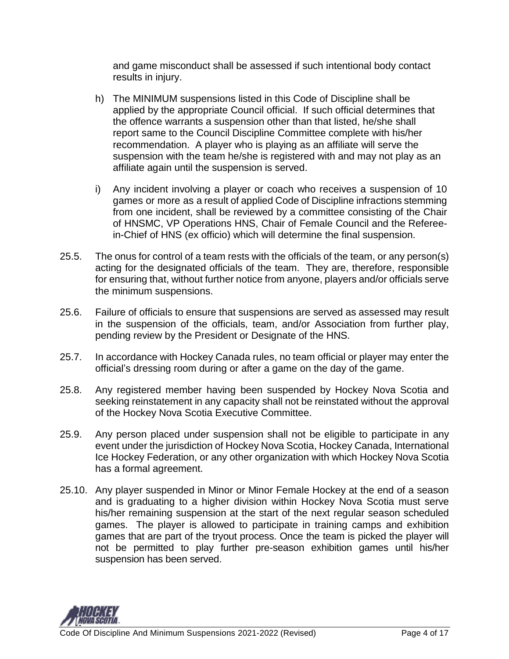and game misconduct shall be assessed if such intentional body contact results in injury.

- h) The MINIMUM suspensions listed in this Code of Discipline shall be applied by the appropriate Council official. If such official determines that the offence warrants a suspension other than that listed, he/she shall report same to the Council Discipline Committee complete with his/her recommendation. A player who is playing as an affiliate will serve the suspension with the team he/she is registered with and may not play as an affiliate again until the suspension is served.
- i) Any incident involving a player or coach who receives a suspension of 10 games or more as a result of applied Code of Discipline infractions stemming from one incident, shall be reviewed by a committee consisting of the Chair of HNSMC, VP Operations HNS, Chair of Female Council and the Refereein-Chief of HNS (ex officio) which will determine the final suspension.
- 25.5. The onus for control of a team rests with the officials of the team, or any person(s) acting for the designated officials of the team. They are, therefore, responsible for ensuring that, without further notice from anyone, players and/or officials serve the minimum suspensions.
- 25.6. Failure of officials to ensure that suspensions are served as assessed may result in the suspension of the officials, team, and/or Association from further play, pending review by the President or Designate of the HNS.
- 25.7. In accordance with Hockey Canada rules, no team official or player may enter the official's dressing room during or after a game on the day of the game.
- 25.8. Any registered member having been suspended by Hockey Nova Scotia and seeking reinstatement in any capacity shall not be reinstated without the approval of the Hockey Nova Scotia Executive Committee.
- 25.9. Any person placed under suspension shall not be eligible to participate in any event under the jurisdiction of Hockey Nova Scotia, Hockey Canada, International Ice Hockey Federation, or any other organization with which Hockey Nova Scotia has a formal agreement.
- 25.10. Any player suspended in Minor or Minor Female Hockey at the end of a season and is graduating to a higher division within Hockey Nova Scotia must serve his/her remaining suspension at the start of the next regular season scheduled games. The player is allowed to participate in training camps and exhibition games that are part of the tryout process. Once the team is picked the player will not be permitted to play further pre-season exhibition games until his/her suspension has been served.

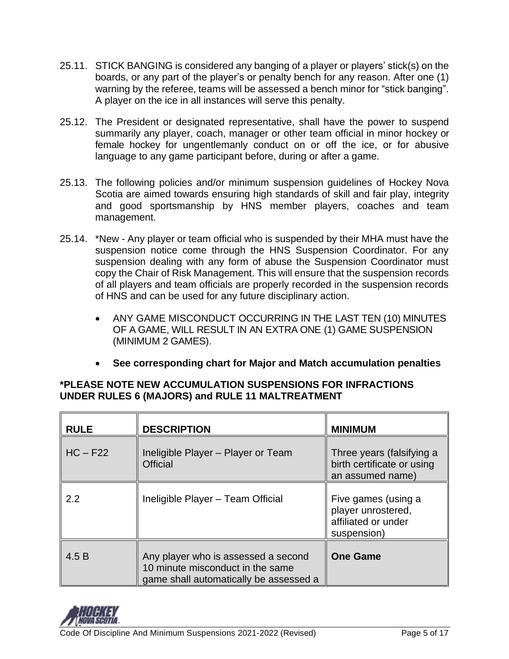- 25.11. STICK BANGING is considered any banging of a player or players' stick(s) on the boards, or any part of the player's or penalty bench for any reason. After one (1) warning by the referee, teams will be assessed a bench minor for "stick banging". A player on the ice in all instances will serve this penalty.
- 25.12. The President or designated representative, shall have the power to suspend summarily any player, coach, manager or other team official in minor hockey or female hockey for ungentlemanly conduct on or off the ice, or for abusive language to any game participant before, during or after a game.
- 25.13. The following policies and/or minimum suspension guidelines of Hockey Nova Scotia are aimed towards ensuring high standards of skill and fair play, integrity and good sportsmanship by HNS member players, coaches and team management.
- 25.14. \*New Any player or team official who is suspended by their MHA must have the suspension notice come through the HNS Suspension Coordinator. For any suspension dealing with any form of abuse the Suspension Coordinator must copy the Chair of Risk Management. This will ensure that the suspension records of all players and team officials are properly recorded in the suspension records of HNS and can be used for any future disciplinary action.
	- ANY GAME MISCONDUCT OCCURRING IN THE LAST TEN (10) MINUTES OF A GAME, WILL RESULT IN AN EXTRA ONE (1) GAME SUSPENSION (MINIMUM 2 GAMES).
	- **See corresponding chart for Major and Match accumulation penalties**

## **\*PLEASE NOTE NEW ACCUMULATION SUSPENSIONS FOR INFRACTIONS UNDER RULES 6 (MAJORS) and RULE 11 MALTREATMENT**

| <b>RULE</b> | <b>DESCRIPTION</b>                                                                                                | <b>MINIMUM</b>                                                                  |
|-------------|-------------------------------------------------------------------------------------------------------------------|---------------------------------------------------------------------------------|
| $HC - F22$  | Ineligible Player - Player or Team<br><b>Official</b>                                                             | Three years (falsifying a<br>birth certificate or using<br>an assumed name)     |
| 2.2         | Ineligible Player - Team Official                                                                                 | Five games (using a<br>player unrostered,<br>affiliated or under<br>suspension) |
| 4.5B        | Any player who is assessed a second<br>10 minute misconduct in the same<br>game shall automatically be assessed a | <b>One Game</b>                                                                 |

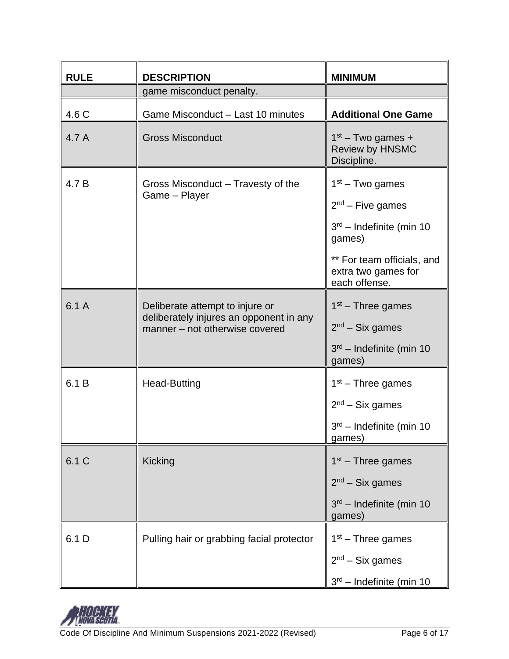| <b>RULE</b> | <b>DESCRIPTION</b>                                                                                           | <b>MINIMUM</b>                                                                                                                                        |
|-------------|--------------------------------------------------------------------------------------------------------------|-------------------------------------------------------------------------------------------------------------------------------------------------------|
|             | game misconduct penalty.                                                                                     |                                                                                                                                                       |
| 4.6 C       | Game Misconduct - Last 10 minutes                                                                            | <b>Additional One Game</b>                                                                                                                            |
| 4.7 A       | <b>Gross Misconduct</b>                                                                                      | $1st$ – Two games +<br>Review by HNSMC<br>Discipline.                                                                                                 |
| 4.7 B       | Gross Misconduct - Travesty of the<br>Game - Player                                                          | $1st - Two games$<br>$2nd$ – Five games<br>$3rd$ – Indefinite (min 10<br>games)<br>** For team officials, and<br>extra two games for<br>each offense. |
| 6.1A        | Deliberate attempt to injure or<br>deliberately injures an opponent in any<br>manner - not otherwise covered | $1st$ – Three games<br>$2nd - Six games$<br>$3rd$ – Indefinite (min 10<br>games)                                                                      |
| 6.1 B       | <b>Head-Butting</b>                                                                                          | $1st$ – Three games<br>$2nd - Six games$<br>$3rd$ – Indefinite (min 10<br>games)                                                                      |
| 6.1 C       | Kicking                                                                                                      | $1st$ – Three games<br>$2nd - Six games$<br>$3rd$ – Indefinite (min 10<br>games)                                                                      |
| 6.1 D       | Pulling hair or grabbing facial protector                                                                    | $1st$ – Three games<br>$2nd - Six games$<br>$3rd$ – Indefinite (min 10                                                                                |

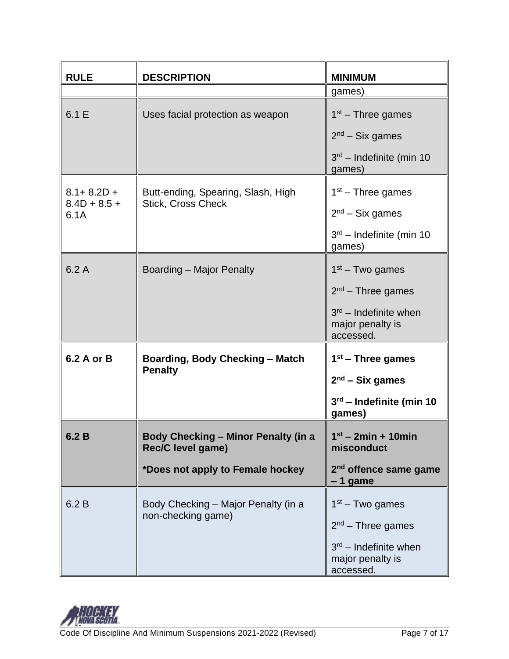| <b>RULE</b>                              | <b>DESCRIPTION</b>                                                     | <b>MINIMUM</b>                                                                                       |
|------------------------------------------|------------------------------------------------------------------------|------------------------------------------------------------------------------------------------------|
|                                          |                                                                        | games)                                                                                               |
| 6.1 E                                    | Uses facial protection as weapon                                       | $1st$ – Three games<br>$2nd - Six games$<br>3 <sup>rd</sup> – Indefinite (min 10                     |
|                                          |                                                                        | games)                                                                                               |
| $8.1 + 8.2D +$<br>$8.4D + 8.5 +$<br>6.1A | Butt-ending, Spearing, Slash, High<br><b>Stick, Cross Check</b>        | $1st$ – Three games<br>$2nd - Six games$<br>$3rd$ – Indefinite (min 10<br>games)                     |
| 6.2A                                     | Boarding - Major Penalty                                               | $1st$ – Two games<br>$2nd$ – Three games<br>$3rd$ – Indefinite when                                  |
|                                          |                                                                        | major penalty is<br>accessed.                                                                        |
| 6.2 A or B                               | <b>Boarding, Body Checking - Match</b><br><b>Penalty</b>               | $1st$ – Three games<br>$2nd$ – Six games                                                             |
|                                          |                                                                        | 3rd - Indefinite (min 10<br>games)                                                                   |
| 6.2B                                     | <b>Body Checking - Minor Penalty (in a</b><br><b>Rec/C level game)</b> | $1st - 2min + 10min$<br>misconduct                                                                   |
|                                          | *Does not apply to Female hockey                                       | 2 <sup>nd</sup> offence same game<br>$-1$ game                                                       |
| 6.2 B                                    | Body Checking - Major Penalty (in a<br>non-checking game)              | $1st$ – Two games<br>$2nd$ – Three games<br>$3rd$ – Indefinite when<br>major penalty is<br>accessed. |

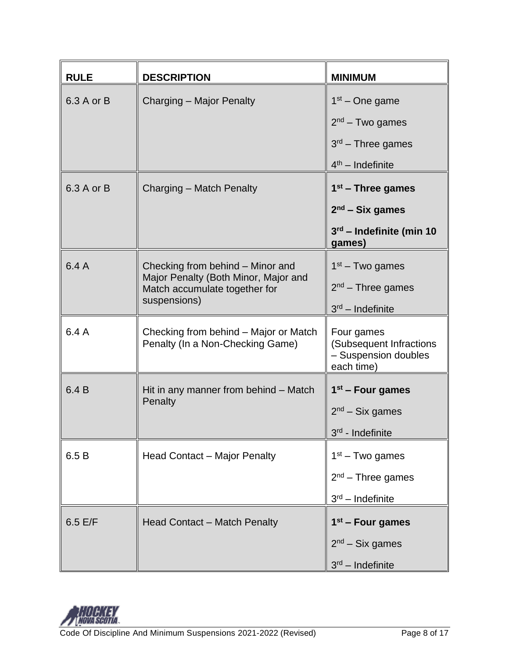| <b>RULE</b> | <b>DESCRIPTION</b>                                                                                                        | <b>MINIMUM</b>                                                                     |
|-------------|---------------------------------------------------------------------------------------------------------------------------|------------------------------------------------------------------------------------|
| 6.3 A or B  | Charging - Major Penalty                                                                                                  | $1st - One game$<br>$2nd - Two games$<br>$3rd$ – Three games<br>$4th$ – Indefinite |
| 6.3 A or B  | Charging - Match Penalty                                                                                                  | $1st$ – Three games<br>$2nd$ – Six games<br>3rd - Indefinite (min 10<br>games)     |
| 6.4 A       | Checking from behind - Minor and<br>Major Penalty (Both Minor, Major and<br>Match accumulate together for<br>suspensions) | $1st$ – Two games<br>$2nd$ – Three games<br>$3rd$ – Indefinite                     |
| 6.4 A       | Checking from behind – Major or Match<br>Penalty (In a Non-Checking Game)                                                 | Four games<br>(Subsequent Infractions<br>- Suspension doubles<br>each time)        |
| 6.4 B       | Hit in any manner from behind – Match<br>Penalty                                                                          | $1st$ – Four games<br>$2nd - Six games$<br>3rd - Indefinite                        |
| 6.5 B       | Head Contact - Major Penalty                                                                                              | $1st - Two games$<br>$2nd$ – Three games<br>$3rd$ – Indefinite                     |
| $6.5$ E/F   | Head Contact - Match Penalty                                                                                              | $1st$ – Four games<br>$2nd - Six games$<br>$3rd$ – Indefinite                      |

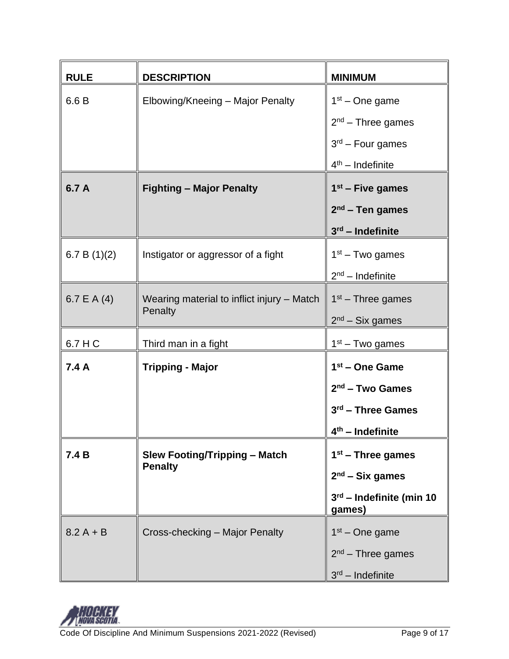| <b>RULE</b>    | <b>DESCRIPTION</b>                                    | <b>MINIMUM</b>                     |
|----------------|-------------------------------------------------------|------------------------------------|
| 6.6 B          | Elbowing/Kneeing - Major Penalty                      | $1st - One game$                   |
|                |                                                       | $2nd$ – Three games                |
|                |                                                       | $3rd$ – Four games                 |
|                |                                                       | $4th$ – Indefinite                 |
| 6.7 A          | <b>Fighting - Major Penalty</b>                       | $1st$ – Five games                 |
|                |                                                       | $2nd$ – Ten games                  |
|                |                                                       | $3rd$ – Indefinite                 |
| 6.7 B $(1)(2)$ | Instigator or aggressor of a fight                    | $1st - Two games$                  |
|                |                                                       | $2nd$ – Indefinite                 |
| 6.7 E A $(4)$  | Wearing material to inflict injury - Match<br>Penalty | $1st$ – Three games                |
|                |                                                       | $2nd - Six games$                  |
| 6.7 H C        | Third man in a fight                                  | $1st - Two games$                  |
| 7.4A           | <b>Tripping - Major</b>                               | $1st$ – One Game                   |
|                |                                                       | $2nd$ – Two Games                  |
|                |                                                       | 3rd - Three Games                  |
|                |                                                       | $4th$ – Indefinite                 |
| 7.4B           | <b>Slew Footing/Tripping - Match</b>                  | $1st$ – Three games                |
|                | <b>Penalty</b>                                        | $2nd$ – Six games                  |
|                |                                                       | 3rd - Indefinite (min 10<br>games) |
| $8.2A + B$     | Cross-checking - Major Penalty                        | $1st - One game$                   |
|                |                                                       | $2nd$ – Three games                |
|                |                                                       | $3rd$ – Indefinite                 |

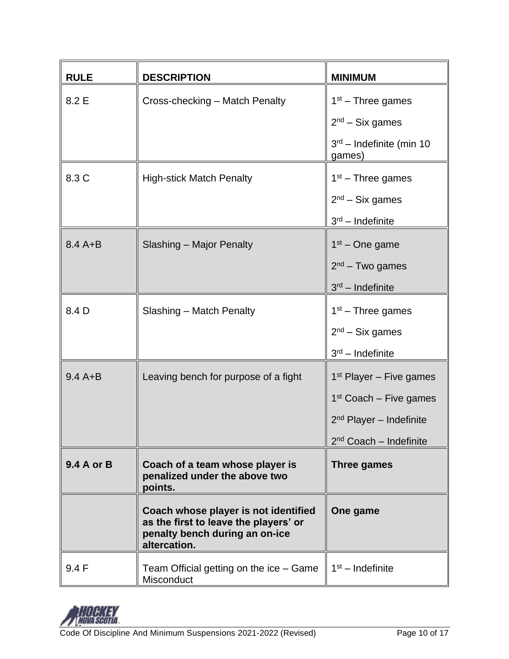| <b>RULE</b> | <b>DESCRIPTION</b>                                                                                                              | <b>MINIMUM</b>                       |
|-------------|---------------------------------------------------------------------------------------------------------------------------------|--------------------------------------|
| 8.2 E       | Cross-checking - Match Penalty                                                                                                  | $1st$ – Three games                  |
|             |                                                                                                                                 | $2nd - Six games$                    |
|             |                                                                                                                                 | $3rd$ – Indefinite (min 10<br>games) |
| 8.3 C       | <b>High-stick Match Penalty</b>                                                                                                 | $1st$ – Three games                  |
|             |                                                                                                                                 | $2nd - Six games$                    |
|             |                                                                                                                                 | $3rd$ – Indefinite                   |
| $8.4A + B$  | Slashing - Major Penalty                                                                                                        | $1st$ – One game                     |
|             |                                                                                                                                 | $2nd$ – Two games                    |
|             |                                                                                                                                 | $3rd$ – Indefinite                   |
| 8.4 D       | Slashing - Match Penalty                                                                                                        | $1st$ – Three games                  |
|             |                                                                                                                                 | $2nd - Six games$                    |
|             |                                                                                                                                 | $3rd$ – Indefinite                   |
| $9.4A + B$  | Leaving bench for purpose of a fight                                                                                            | $1st$ Player – Five games            |
|             |                                                                                                                                 | 1 <sup>st</sup> Coach - Five games   |
|             |                                                                                                                                 | $2nd$ Player – Indefinite            |
|             |                                                                                                                                 | $2nd$ Coach - Indefinite             |
| 9.4 A or B  | Coach of a team whose player is<br>penalized under the above two<br>points.                                                     | Three games                          |
|             | Coach whose player is not identified<br>as the first to leave the players' or<br>penalty bench during an on-ice<br>altercation. | One game                             |
| 9.4F        | Team Official getting on the ice - Game<br>Misconduct                                                                           | $1st$ – Indefinite                   |

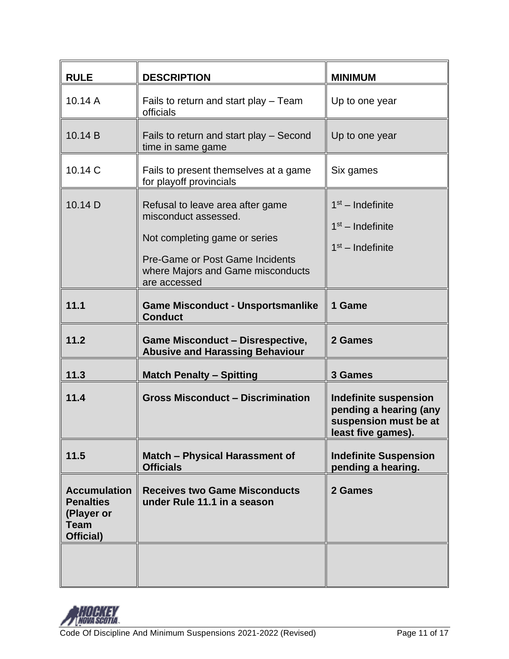| <b>RULE</b>                                                                       | <b>DESCRIPTION</b>                                                                                                                                                                       | <b>MINIMUM</b>                                                                                        |
|-----------------------------------------------------------------------------------|------------------------------------------------------------------------------------------------------------------------------------------------------------------------------------------|-------------------------------------------------------------------------------------------------------|
| 10.14 A                                                                           | Fails to return and start play - Team<br>officials                                                                                                                                       | Up to one year                                                                                        |
| 10.14 B                                                                           | Fails to return and start play - Second<br>time in same game                                                                                                                             | Up to one year                                                                                        |
| 10.14 C                                                                           | Fails to present themselves at a game<br>for playoff provincials                                                                                                                         | Six games                                                                                             |
| 10.14 D                                                                           | Refusal to leave area after game<br>misconduct assessed.<br>Not completing game or series<br><b>Pre-Game or Post Game Incidents</b><br>where Majors and Game misconducts<br>are accessed | 1 <sup>st</sup> – Indefinite<br>$1st$ – Indefinite<br>$1st$ – Indefinite                              |
| 11.1                                                                              | <b>Game Misconduct - Unsportsmanlike</b><br><b>Conduct</b>                                                                                                                               | 1 Game                                                                                                |
| 11.2                                                                              | <b>Game Misconduct - Disrespective,</b><br><b>Abusive and Harassing Behaviour</b>                                                                                                        | 2 Games                                                                                               |
| 11.3                                                                              | <b>Match Penalty - Spitting</b>                                                                                                                                                          | 3 Games                                                                                               |
| 11.4                                                                              | <b>Gross Misconduct - Discrimination</b>                                                                                                                                                 | <b>Indefinite suspension</b><br>pending a hearing (any<br>suspension must be at<br>least five games). |
| 11.5                                                                              | <b>Match - Physical Harassment of</b><br><b>Officials</b>                                                                                                                                | <b>Indefinite Suspension</b><br>pending a hearing.                                                    |
| <b>Accumulation</b><br><b>Penalties</b><br>(Player or<br><b>Team</b><br>Official) | <b>Receives two Game Misconducts</b><br>under Rule 11.1 in a season                                                                                                                      | 2 Games                                                                                               |
|                                                                                   |                                                                                                                                                                                          |                                                                                                       |

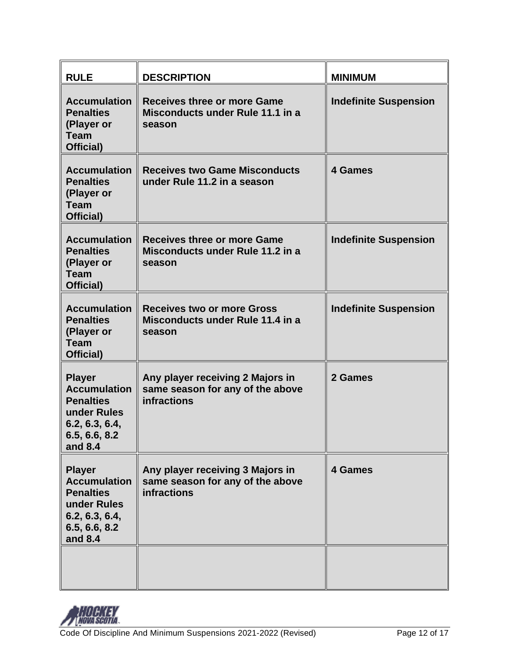| <b>RULE</b>                                                                                                           | <b>DESCRIPTION</b>                                                                         | <b>MINIMUM</b>               |
|-----------------------------------------------------------------------------------------------------------------------|--------------------------------------------------------------------------------------------|------------------------------|
| <b>Accumulation</b><br><b>Penalties</b><br>(Player or<br><b>Team</b><br>Official)                                     | Receives three or more Game<br>Misconducts under Rule 11.1 in a<br>season                  | <b>Indefinite Suspension</b> |
| <b>Accumulation</b><br><b>Penalties</b><br>(Player or<br><b>Team</b><br>Official)                                     | <b>Receives two Game Misconducts</b><br>under Rule 11.2 in a season                        | 4 Games                      |
| <b>Accumulation</b><br><b>Penalties</b><br>(Player or<br><b>Team</b><br>Official)                                     | <b>Receives three or more Game</b><br>Misconducts under Rule 11.2 in a<br>season           | <b>Indefinite Suspension</b> |
| <b>Accumulation</b><br><b>Penalties</b><br>(Player or<br><b>Team</b><br>Official)                                     | <b>Receives two or more Gross</b><br>Misconducts under Rule 11.4 in a<br>season            | <b>Indefinite Suspension</b> |
| <b>Player</b><br><b>Accumulation</b><br><b>Penalties</b><br>under Rules<br>6.2, 6.3, 6.4,<br>6.5, 6.6, 8.2<br>and 8.4 | Any player receiving 2 Majors in<br>same season for any of the above<br><b>infractions</b> | 2 Games                      |
| <b>Player</b><br><b>Accumulation</b><br><b>Penalties</b><br>under Rules<br>6.2, 6.3, 6.4,<br>6.5, 6.6, 8.2<br>and 8.4 | Any player receiving 3 Majors in<br>same season for any of the above<br><b>infractions</b> | <b>4 Games</b>               |
|                                                                                                                       |                                                                                            |                              |

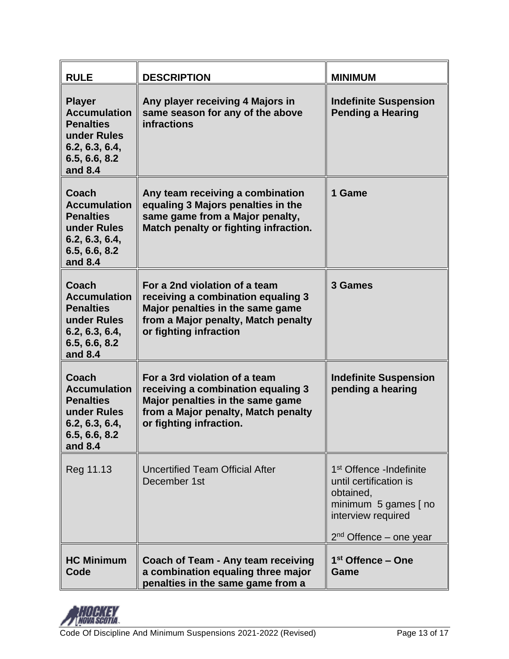| <b>RULE</b>                                                                                                           | <b>DESCRIPTION</b>                                                                                                                                                        | <b>MINIMUM</b>                                                                                                                                      |
|-----------------------------------------------------------------------------------------------------------------------|---------------------------------------------------------------------------------------------------------------------------------------------------------------------------|-----------------------------------------------------------------------------------------------------------------------------------------------------|
| <b>Player</b><br><b>Accumulation</b><br><b>Penalties</b><br>under Rules<br>6.2, 6.3, 6.4,<br>6.5, 6.6, 8.2<br>and 8.4 | Any player receiving 4 Majors in<br>same season for any of the above<br><b>infractions</b>                                                                                | <b>Indefinite Suspension</b><br><b>Pending a Hearing</b>                                                                                            |
| Coach<br><b>Accumulation</b><br><b>Penalties</b><br>under Rules<br>6.2, 6.3, 6.4,<br>6.5, 6.6, 8.2<br>and 8.4         | Any team receiving a combination<br>equaling 3 Majors penalties in the<br>same game from a Major penalty,<br>Match penalty or fighting infraction.                        | 1 Game                                                                                                                                              |
| Coach<br><b>Accumulation</b><br><b>Penalties</b><br>under Rules<br>6.2, 6.3, 6.4,<br>6.5, 6.6, 8.2<br>and 8.4         | For a 2nd violation of a team<br>receiving a combination equaling 3<br>Major penalties in the same game<br>from a Major penalty, Match penalty<br>or fighting infraction  | 3 Games                                                                                                                                             |
| Coach<br><b>Accumulation</b><br><b>Penalties</b><br>under Rules<br>6.2, 6.3, 6.4,<br>6.5, 6.6, 8.2<br>and 8.4         | For a 3rd violation of a team<br>receiving a combination equaling 3<br>Major penalties in the same game<br>from a Major penalty, Match penalty<br>or fighting infraction. | <b>Indefinite Suspension</b><br>pending a hearing                                                                                                   |
| Reg 11.13                                                                                                             | <b>Uncertified Team Official After</b><br>December 1st                                                                                                                    | 1 <sup>st</sup> Offence -Indefinite<br>until certification is<br>obtained,<br>minimum 5 games [no<br>interview required<br>$2nd$ Offence – one year |
| <b>HC Minimum</b><br>Code                                                                                             | Coach of Team - Any team receiving<br>a combination equaling three major<br>penalties in the same game from a                                                             | 1 <sup>st</sup> Offence – One<br>Game                                                                                                               |

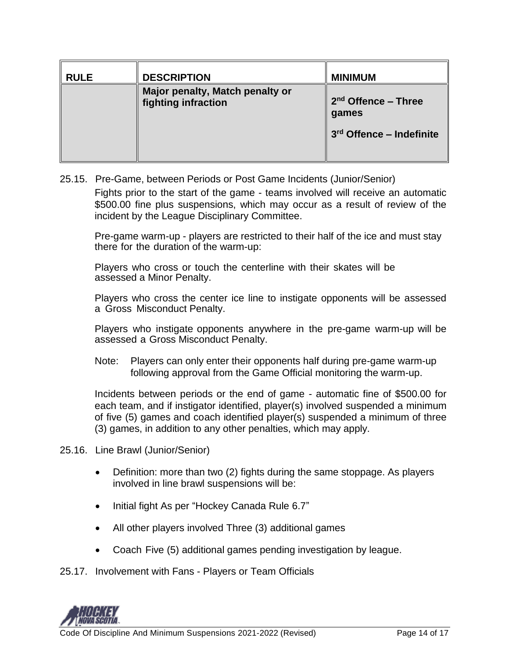| <b>RULE</b> | <b>DESCRIPTION</b>                                     | <b>MINIMUM</b>                                                                   |
|-------------|--------------------------------------------------------|----------------------------------------------------------------------------------|
|             | Major penalty, Match penalty or<br>fighting infraction | 2 <sup>nd</sup> Offence - Three<br>games<br>3 <sup>rd</sup> Offence – Indefinite |

25.15. Pre-Game, between Periods or Post Game Incidents (Junior/Senior)

Fights prior to the start of the game - teams involved will receive an automatic \$500.00 fine plus suspensions, which may occur as a result of review of the incident by the League Disciplinary Committee.

Pre-game warm-up - players are restricted to their half of the ice and must stay there for the duration of the warm-up:

Players who cross or touch the centerline with their skates will be assessed a Minor Penalty.

Players who cross the center ice line to instigate opponents will be assessed a Gross Misconduct Penalty.

Players who instigate opponents anywhere in the pre-game warm-up will be assessed a Gross Misconduct Penalty.

Note: Players can only enter their opponents half during pre-game warm-up following approval from the Game Official monitoring the warm-up.

Incidents between periods or the end of game - automatic fine of \$500.00 for each team, and if instigator identified, player(s) involved suspended a minimum of five (5) games and coach identified player(s) suspended a minimum of three (3) games, in addition to any other penalties, which may apply.

- 25.16. Line Brawl (Junior/Senior)
	- Definition: more than two (2) fights during the same stoppage. As players involved in line brawl suspensions will be:
	- Initial fight As per "Hockey Canada Rule 6.7"
	- All other players involved Three (3) additional games
	- Coach Five (5) additional games pending investigation by league.
- 25.17. Involvement with Fans Players or Team Officials

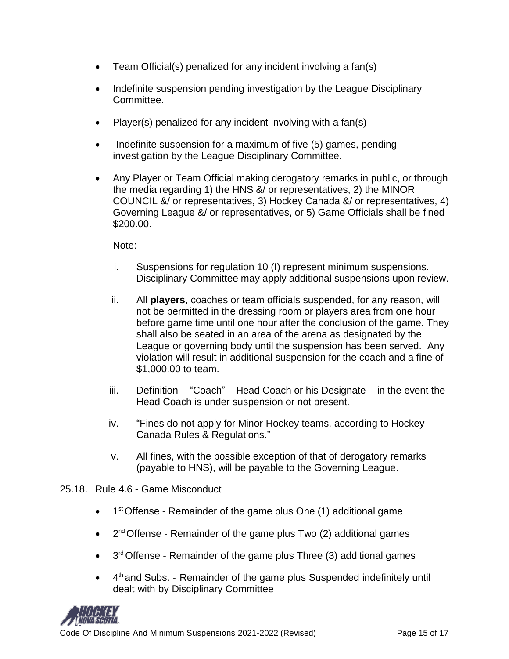- Team Official(s) penalized for any incident involving a fan(s)
- Indefinite suspension pending investigation by the League Disciplinary Committee.
- Player(s) penalized for any incident involving with a fan(s)
- -Indefinite suspension for a maximum of five (5) games, pending investigation by the League Disciplinary Committee.
- Any Player or Team Official making derogatory remarks in public, or through the media regarding 1) the HNS &/ or representatives, 2) the MINOR COUNCIL &/ or representatives, 3) Hockey Canada &/ or representatives, 4) Governing League &/ or representatives, or 5) Game Officials shall be fined \$200.00.

Note:

- i. Suspensions for regulation 10 (I) represent minimum suspensions. Disciplinary Committee may apply additional suspensions upon review.
- ii. All **players**, coaches or team officials suspended, for any reason, will not be permitted in the dressing room or players area from one hour before game time until one hour after the conclusion of the game. They shall also be seated in an area of the arena as designated by the League or governing body until the suspension has been served. Any violation will result in additional suspension for the coach and a fine of \$1,000.00 to team.
- iii. Definition "Coach" Head Coach or his Designate in the event the Head Coach is under suspension or not present.
- iv. "Fines do not apply for Minor Hockey teams, according to Hockey Canada Rules & Regulations."
- v. All fines, with the possible exception of that of derogatory remarks (payable to HNS), will be payable to the Governing League.
- 25.18. Rule 4.6 Game Misconduct
	- 1<sup>st</sup> Offense Remainder of the game plus One (1) additional game
	- $\bullet$  2<sup>nd</sup> Offense Remainder of the game plus Two (2) additional games
	- $\bullet$  3<sup>rd</sup> Offense Remainder of the game plus Three (3) additional games
	- $\bullet$ 4<sup>th</sup> and Subs. - Remainder of the game plus Suspended indefinitely until dealt with by Disciplinary Committee

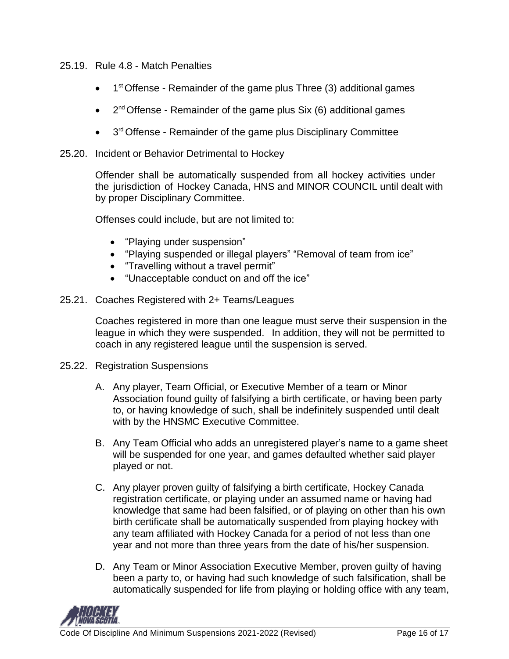- 25.19. Rule 4.8 Match Penalties
	- 1<sup>st</sup> Offense Remainder of the game plus Three (3) additional games
	- $\bullet$  $2^{nd}$  Offense - Remainder of the game plus Six (6) additional games
	- $\bullet$  3<sup>rd</sup> Offense Remainder of the game plus Disciplinary Committee
- 25.20. Incident or Behavior Detrimental to Hockey

Offender shall be automatically suspended from all hockey activities under the jurisdiction of Hockey Canada, HNS and MINOR COUNCIL until dealt with by proper Disciplinary Committee.

Offenses could include, but are not limited to:

- "Playing under suspension"
- "Playing suspended or illegal players" "Removal of team from ice"
- "Travelling without a travel permit"
- "Unacceptable conduct on and off the ice"
- 25.21. Coaches Registered with 2+ Teams/Leagues

Coaches registered in more than one league must serve their suspension in the league in which they were suspended. In addition, they will not be permitted to coach in any registered league until the suspension is served.

- 25.22. Registration Suspensions
	- A. Any player, Team Official, or Executive Member of a team or Minor Association found guilty of falsifying a birth certificate, or having been party to, or having knowledge of such, shall be indefinitely suspended until dealt with by the HNSMC Executive Committee.
	- B. Any Team Official who adds an unregistered player's name to a game sheet will be suspended for one year, and games defaulted whether said player played or not.
	- C. Any player proven guilty of falsifying a birth certificate, Hockey Canada registration certificate, or playing under an assumed name or having had knowledge that same had been falsified, or of playing on other than his own birth certificate shall be automatically suspended from playing hockey with any team affiliated with Hockey Canada for a period of not less than one year and not more than three years from the date of his/her suspension.
	- D. Any Team or Minor Association Executive Member, proven guilty of having been a party to, or having had such knowledge of such falsification, shall be automatically suspended for life from playing or holding office with any team,